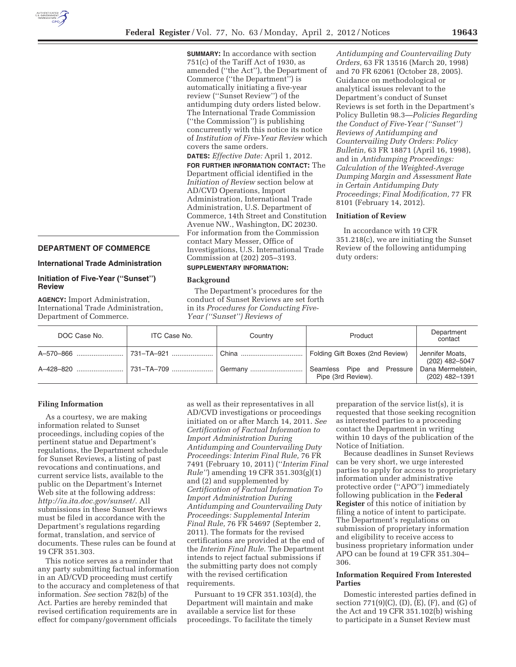**SUMMARY:** In accordance with section 751(c) of the Tariff Act of 1930, as amended (''the Act''), the Department of Commerce (''the Department'') is automatically initiating a five-year review (''Sunset Review'') of the antidumping duty orders listed below. The International Trade Commission (''the Commission'') is publishing concurrently with this notice its notice of *Institution of Five-Year Review* which covers the same orders.

**DATES:** *Effective Date:* April 1, 2012. **FOR FURTHER INFORMATION CONTACT:** The Department official identified in the *Initiation of Review* section below at AD/CVD Operations, Import Administration, International Trade Administration, U.S. Department of Commerce, 14th Street and Constitution Avenue NW., Washington, DC 20230. For information from the Commission contact Mary Messer, Office of Investigations, U.S. International Trade Commission at (202) 205–3193. **SUPPLEMENTARY INFORMATION:** 

### **Background**

The Department's procedures for the conduct of Sunset Reviews are set forth in its *Procedures for Conducting Five-Year (''Sunset'') Reviews of* 

*Antidumping and Countervailing Duty Orders,* 63 FR 13516 (March 20, 1998) and 70 FR 62061 (October 28, 2005). Guidance on methodological or analytical issues relevant to the Department's conduct of Sunset Reviews is set forth in the Department's Policy Bulletin 98.3—*Policies Regarding the Conduct of Five-Year (''Sunset'') Reviews of Antidumping and Countervailing Duty Orders: Policy Bulletin,* 63 FR 18871 (April 16, 1998), and in *Antidumping Proceedings: Calculation of the Weighted-Average Dumping Margin and Assessment Rate in Certain Antidumping Duty Proceedings; Final Modification,* 77 FR 8101 (February 14, 2012).

#### **Initiation of Review**

In accordance with 19 CFR 351.218(c), we are initiating the Sunset Review of the following antidumping duty orders:

| DOC Case No. | ITC Case No. | Country | Product                                          | Department<br>contact               |
|--------------|--------------|---------|--------------------------------------------------|-------------------------------------|
|              |              |         | Folding Gift Boxes (2nd Review)                  | Jennifer Moats,<br>(202) 482-5047   |
|              |              | Germany | Seamless Pipe and Pressure<br>Pipe (3rd Review). | Dana Mermelstein,<br>(202) 482-1391 |

# **Filing Information**

**Review** 

**DEPARTMENT OF COMMERCE International Trade Administration Initiation of Five-Year (''Sunset'')** 

**AGENCY:** Import Administration, International Trade Administration,

Department of Commerce.

As a courtesy, we are making information related to Sunset proceedings, including copies of the pertinent statue and Department's regulations, the Department schedule for Sunset Reviews, a listing of past revocations and continuations, and current service lists, available to the public on the Department's Internet Web site at the following address: *http://ia.ita.doc.gov/sunset/.* All submissions in these Sunset Reviews must be filed in accordance with the Department's regulations regarding format, translation, and service of documents. These rules can be found at 19 CFR 351.303.

This notice serves as a reminder that any party submitting factual information in an AD/CVD proceeding must certify to the accuracy and completeness of that information. *See* section 782(b) of the Act. Parties are hereby reminded that revised certification requirements are in effect for company/government officials

as well as their representatives in all AD/CVD investigations or proceedings initiated on or after March 14, 2011. *See Certification of Factual Information to Import Administration During Antidumping and Countervailing Duty Proceedings: Interim Final Rule,* 76 FR 7491 (February 10, 2011) (''*Interim Final Rule''*) amending 19 CFR 351.303(g)(1) and (2) and supplemented by *Certification of Factual Information To Import Administration During Antidumping and Countervailing Duty Proceedings: Supplemental Interim Final Rule,* 76 FR 54697 (September 2, 2011). The formats for the revised certifications are provided at the end of the *Interim Final Rule.* The Department intends to reject factual submissions if the submitting party does not comply with the revised certification requirements.

Pursuant to 19 CFR 351.103(d), the Department will maintain and make available a service list for these proceedings. To facilitate the timely

preparation of the service list(s), it is requested that those seeking recognition as interested parties to a proceeding contact the Department in writing within 10 days of the publication of the Notice of Initiation.

Because deadlines in Sunset Reviews can be very short, we urge interested parties to apply for access to proprietary information under administrative protective order (''APO'') immediately following publication in the **Federal Register** of this notice of initiation by filing a notice of intent to participate. The Department's regulations on submission of proprietary information and eligibility to receive access to business proprietary information under APO can be found at 19 CFR 351.304– 306.

# **Information Required From Interested Parties**

Domestic interested parties defined in section  $771(9)(C)$ ,  $(D)$ ,  $(E)$ ,  $(F)$ , and  $(G)$  of the Act and 19 CFR 351.102(b) wishing to participate in a Sunset Review must